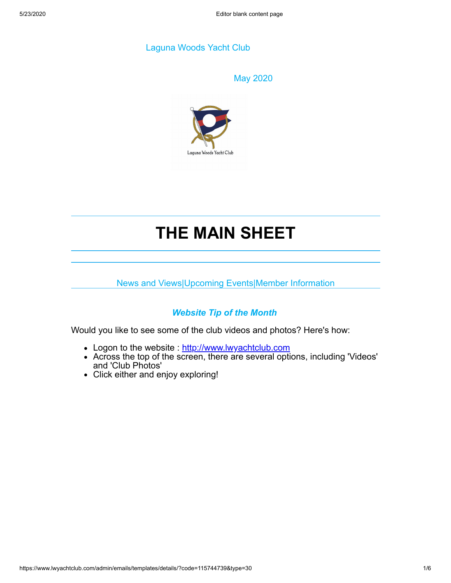## Laguna Woods Yacht Club

|        |       |  | ١ |
|--------|-------|--|---|
| ı<br>v | v C s |  |   |
|        |       |  |   |



# **THE MAIN SHEET**

News and Views|Upcoming Events|Member Information

# *Website Tip of the Month*

Would you like to see some of the club videos and photos? Here's how:

- Logon to the website : [http://www.lwyachtclub.com](http://www.lwyachtclub.com/)
- Across the top of the screen, there are several options, including 'Videos' and 'Club Photos'
- Click either and enjoy exploring!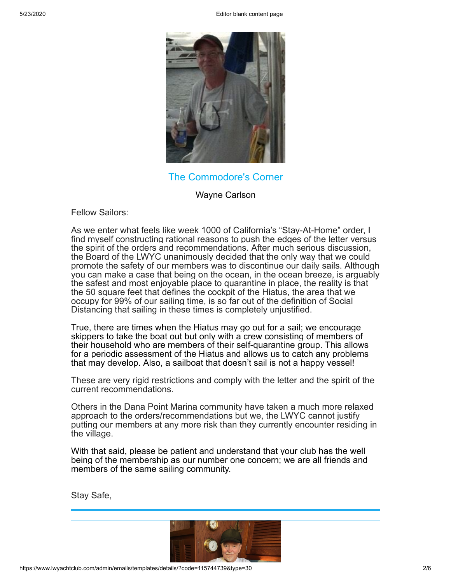5/23/2020 Editor blank content page



The Commodore's Corner

Wayne Carlson

Fellow Sailors:

As we enter what feels like week 1000 of California's "Stay-At-Home" order, I find myself constructing rational reasons to push the edges of the letter versus the spirit of the orders and recommendations. After much serious discussion, the Board of the LWYC unanimously decided that the only way that we could promote the safety of our members was to discontinue our daily sails. Although you can make a case that being on the ocean, in the ocean breeze, is arguably the safest and most enjoyable place to quarantine in place, the reality is that the 50 square feet that defines the cockpit of the Hiatus, the area that we occupy for 99% of our sailing time, is so far out of the definition of Social Distancing that sailing in these times is completely unjustified.

True, there are times when the Hiatus may go out for a sail; we encourage skippers to take the boat out but only with a crew consisting of members of their household who are members of their self-quarantine group. This allows for a periodic assessment of the Hiatus and allows us to catch any problems that may develop. Also, a sailboat that doesn't sail is not a happy vessel!

These are very rigid restrictions and comply with the letter and the spirit of the current recommendations.

Others in the Dana Point Marina community have taken a much more relaxed approach to the orders/recommendations but we, the LWYC cannot justify putting our members at any more risk than they currently encounter residing in the village.

With that said, please be patient and understand that your club has the well being of the membership as our number one concern; we are all friends and members of the same sailing community.

Stay Safe,

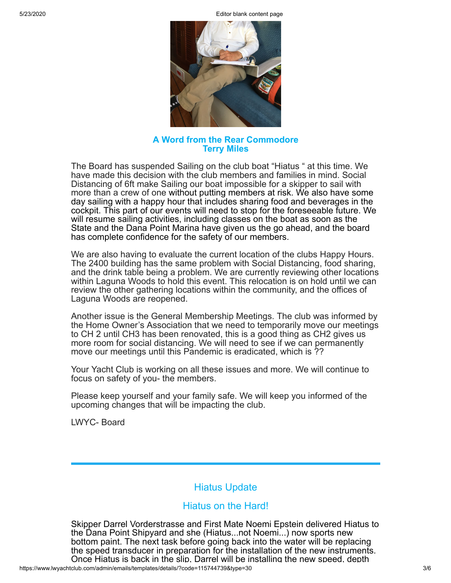5/23/2020 Editor blank content page



## **A Word from the Rear Commodore Terry Miles**

The Board has suspended Sailing on the club boat "Hiatus " at this time. We have made this decision with the club members and families in mind. Social Distancing of 6ft make Sailing our boat impossible for a skipper to sail with more than a crew of one without putting members at risk. We also have some day sailing with a happy hour that includes sharing food and beverages in the cockpit. This part of our events will need to stop for the foreseeable future. We will resume sailing activities, including classes on the boat as soon as the State and the Dana Point Marina have given us the go ahead, and the board has complete confidence for the safety of our members.

We are also having to evaluate the current location of the clubs Happy Hours. The 2400 building has the same problem with Social Distancing, food sharing, and the drink table being a problem. We are currently reviewing other locations within Laguna Woods to hold this event. This relocation is on hold until we can review the other gathering locations within the community, and the offices of Laguna Woods are reopened.

Another issue is the General Membership Meetings. The club was informed by the Home Owner's Association that we need to temporarily move our meetings to CH 2 until CH3 has been renovated, this is a good thing as CH2 gives us more room for social distancing. We will need to see if we can permanently move our meetings until this Pandemic is eradicated, which is ??

Your Yacht Club is working on all these issues and more. We will continue to focus on safety of you- the members.

Please keep yourself and your family safe. We will keep you informed of the upcoming changes that will be impacting the club.

LWYC- Board

# Hiatus Update

## Hiatus on the Hard!

Skipper Darrel Vorderstrasse and First Mate Noemi Epstein delivered Hiatus to the Dana Point Shipyard and she (Hiatus...not Noemi...) now sports new bottom paint. The next task before going back into the water will be replacing the speed transducer in preparation for the installation of the new instruments. Once Hiatus is back in the slip, Darrel will be installing the new speed, depth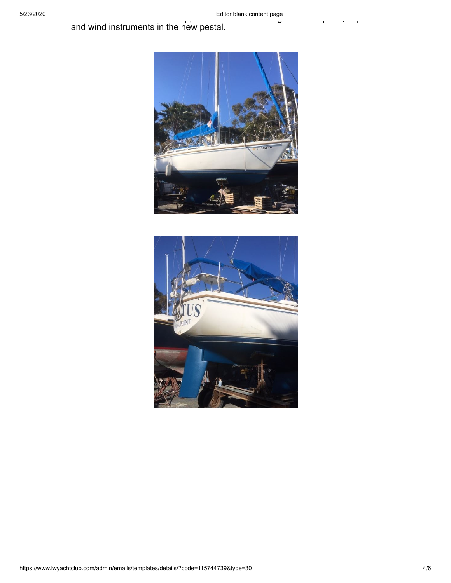and wind instruments in the new pestal.



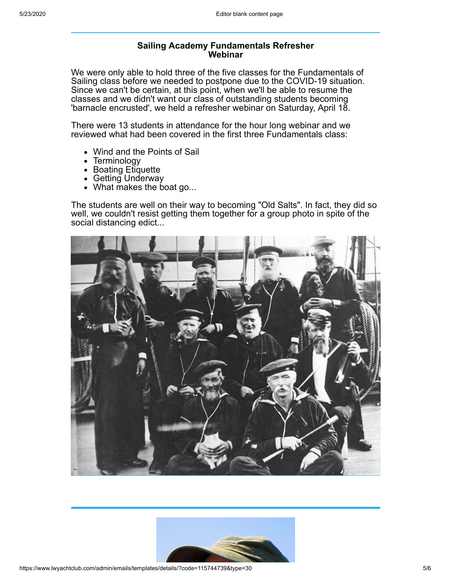#### **Sailing Academy Fundamentals Refresher Webinar**

We were only able to hold three of the five classes for the Fundamentals of Sailing class before we needed to postpone due to the COVID-19 situation. Since we can't be certain, at this point, when we'll be able to resume the classes and we didn't want our class of outstanding students becoming 'barnacle encrusted', we held a refresher webinar on Saturday, April 18.

There were 13 students in attendance for the hour long webinar and we reviewed what had been covered in the first three Fundamentals class:

- Wind and the Points of Sail
- Terminology
- Boating Etiquette
- Getting Underway
- What makes the boat go...

The students are well on their way to becoming "Old Salts". In fact, they did so well, we couldn't resist getting them together for a group photo in spite of the social distancing edict...